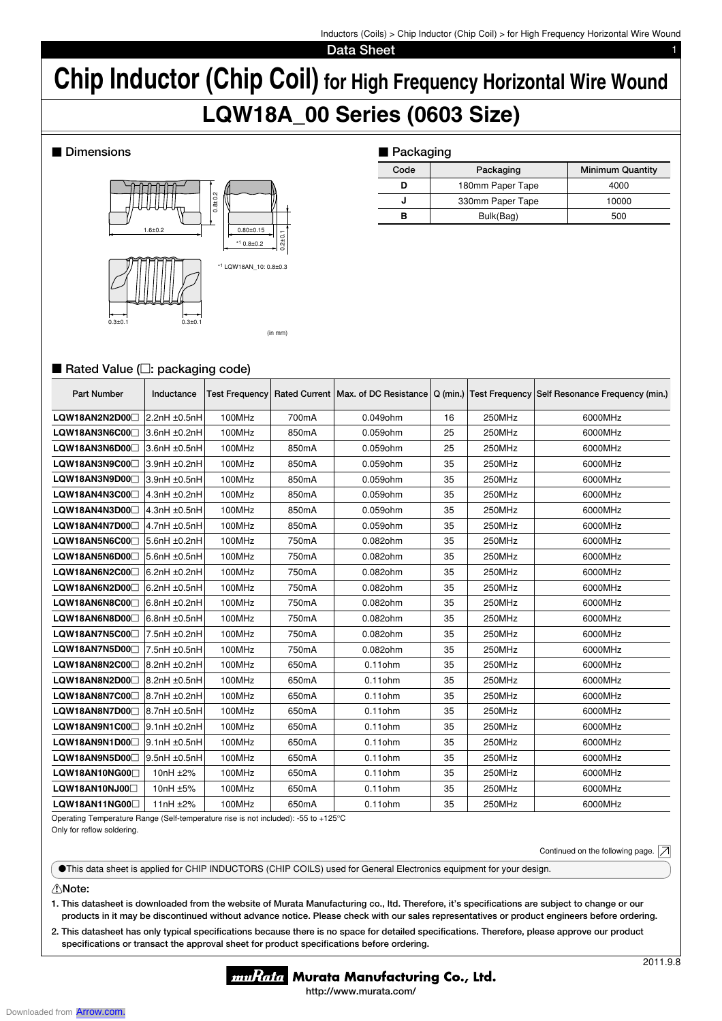Inductors (Coils) > Chip Inductor (Chip Coil) > for High Frequency Horizontal Wire Wound

**Data Sheet** 

# **Chip Inductor (Chip Coil) for High Frequency Horizontal Wire Wound LQW18A\_00 Series (0603 Size)**

## $\blacksquare$  Dimensions



| ■ Packaging |                  |                         |  |  |  |  |  |
|-------------|------------------|-------------------------|--|--|--|--|--|
| Code        | Packaging        | <b>Minimum Quantity</b> |  |  |  |  |  |
| D           | 180mm Paper Tape | 4000                    |  |  |  |  |  |
| J           | 330mm Paper Tape | 10000                   |  |  |  |  |  |
| в           | Bulk(Bag)        | 500                     |  |  |  |  |  |

## ■ Rated Value (□: packaging code)

| <b>Part Number</b>         | Inductance        | <b>Test Frequency</b> |       |            |    |        | Rated Current   Max. of DC Resistance   Q (min.)   Test Frequency   Self Resonance Frequency (min.) |
|----------------------------|-------------------|-----------------------|-------|------------|----|--------|-----------------------------------------------------------------------------------------------------|
| LQW18AN2N2D00              | 2.2nH ±0.5nH      | 100MHz                | 700mA | 0.049ohm   | 16 | 250MHz | 6000MHz                                                                                             |
| LQW18AN3N6C00              | 3.6nH ±0.2nH      | 100MHz                | 850mA | 0.059ohm   | 25 | 250MHz | 6000MHz                                                                                             |
| LQW18AN3N6D00              | 3.6nH ±0.5nH      | 100MHz                | 850mA | 0.059ohm   | 25 | 250MHz | 6000MHz                                                                                             |
| LQW18AN3N9C00              | 3.9nH ±0.2nH      | 100MHz                | 850mA | 0.059ohm   | 35 | 250MHz | 6000MHz                                                                                             |
| LQW18AN3N9D00 <sup>1</sup> | 3.9nH ±0.5nH      | 100MHz                | 850mA | 0.059ohm   | 35 | 250MHz | 6000MHz                                                                                             |
| LQW18AN4N3C00              | 4.3nH ±0.2nH      | 100MHz                | 850mA | 0.059ohm   | 35 | 250MHz | 6000MHz                                                                                             |
| LQW18AN4N3D00              | $4.3nH \pm 0.5nH$ | 100MHz                | 850mA | 0.059ohm   | 35 | 250MHz | 6000MHz                                                                                             |
| LQW18AN4N7D00⊟             | 4.7nH ±0.5nH      | 100MHz                | 850mA | 0.059ohm   | 35 | 250MHz | 6000MHz                                                                                             |
| LQW18AN5N6C00              | 5.6nH ±0.2nH      | 100MHz                | 750mA | 0.082ohm   | 35 | 250MHz | 6000MHz                                                                                             |
| LQW18AN5N6D00              | 5.6nH ±0.5nH      | 100MHz                | 750mA | 0.082ohm   | 35 | 250MHz | 6000MHz                                                                                             |
| LQW18AN6N2C00              | 6.2nH ±0.2nH      | 100MHz                | 750mA | 0.082ohm   | 35 | 250MHz | 6000MHz                                                                                             |
| LQW18AN6N2D00              | $6.2nH \pm 0.5nH$ | 100MHz                | 750mA | 0.082ohm   | 35 | 250MHz | 6000MHz                                                                                             |
| LQW18AN6N8C00              | 6.8nH ±0.2nH      | 100MHz                | 750mA | 0.082ohm   | 35 | 250MHz | 6000MHz                                                                                             |
| LQW18AN6N8D00              | $6.8nH \pm 0.5nH$ | 100MHz                | 750mA | 0.082ohm   | 35 | 250MHz | 6000MHz                                                                                             |
| LQW18AN7N5C00              | 7.5nH ±0.2nH      | 100MHz                | 750mA | 0.082ohm   | 35 | 250MHz | 6000MHz                                                                                             |
| LQW18AN7N5D00              | 7.5nH ±0.5nH      | 100MHz                | 750mA | 0.082ohm   | 35 | 250MHz | 6000MHz                                                                                             |
| LQW18AN8N2C00              | 8.2nH ±0.2nH      | 100MHz                | 650mA | $0.11$ ohm | 35 | 250MHz | 6000MHz                                                                                             |
| LQW18AN8N2D00              | 8.2nH ±0.5nH      | 100MHz                | 650mA | $0.11$ ohm | 35 | 250MHz | 6000MHz                                                                                             |
| LQW18AN8N7C00              | 8.7nH ±0.2nH      | 100MHz                | 650mA | $0.11$ ohm | 35 | 250MHz | 6000MHz                                                                                             |
| LQW18AN8N7D00              | 8.7nH ±0.5nH      | 100MHz                | 650mA | $0.11$ ohm | 35 | 250MHz | 6000MHz                                                                                             |
| LQW18AN9N1C00              | 9.1nH ±0.2nH      | 100MHz                | 650mA | $0.11$ ohm | 35 | 250MHz | 6000MHz                                                                                             |
| LQW18AN9N1D00              | $9.1nH \pm 0.5nH$ | 100MHz                | 650mA | $0.11$ ohm | 35 | 250MHz | 6000MHz                                                                                             |
| LQW18AN9N5D00              | 9.5nH ±0.5nH      | 100MHz                | 650mA | $0.11$ ohm | 35 | 250MHz | 6000MHz                                                                                             |
| LQW18AN10NG00 <sup>1</sup> | 10nH ±2%          | 100MHz                | 650mA | $0.11$ ohm | 35 | 250MHz | 6000MHz                                                                                             |
| LQW18AN10NJ00              | 10nH ±5%          | 100MHz                | 650mA | $0.11$ ohm | 35 | 250MHz | 6000MHz                                                                                             |
| LQW18AN11NG00              | 11nH ±2%          | 100MHz                | 650mA | $0.11$ ohm | 35 | 250MHz | 6000MHz                                                                                             |

Operating Temperature Range (Self-temperature rise is not included): -55 to +125°C Only for reflow soldering.

Continued on the following page.  $|\mathcal{A}|$ 

oThis data sheet is applied for CHIP INDUCTORS (CHIP COILS) used for General Electronics equipment for your design.

## !**Note:**

**1. This datasheet is downloaded from the website of Murata Manufacturing co., ltd. Therefore, it's specifi cations are subject to change or our products in it may be discontinued without advance notice. Please check with our sales representatives or product engineers before ordering.**

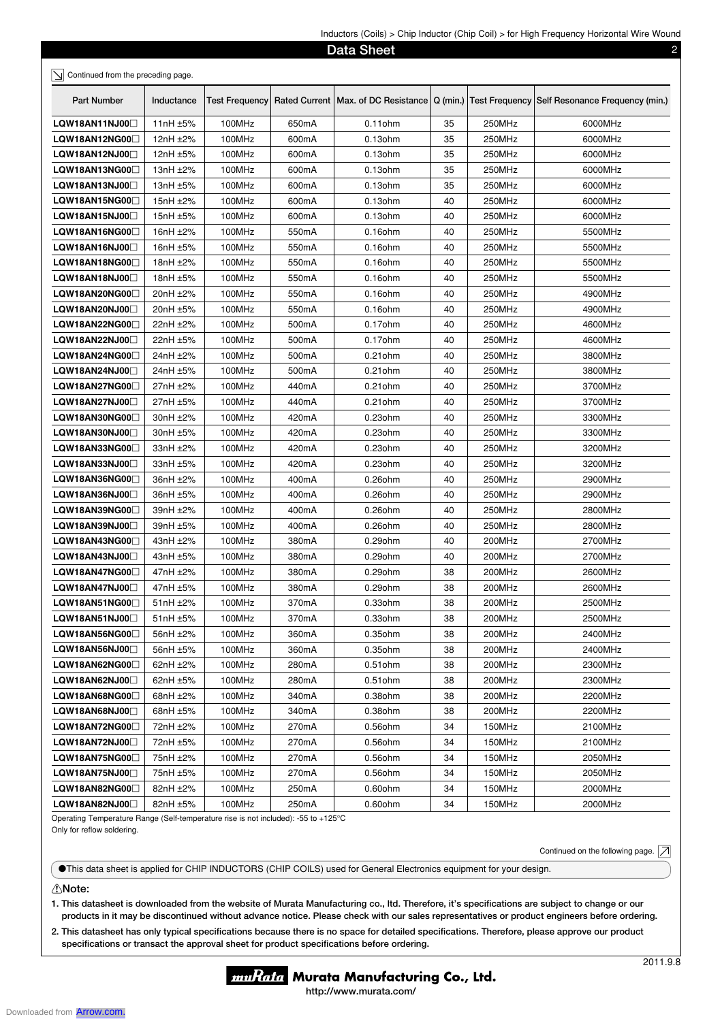|                                    |               |                       |                    | <b>Data Sheet</b>                     |          |        | 2                                              |
|------------------------------------|---------------|-----------------------|--------------------|---------------------------------------|----------|--------|------------------------------------------------|
| Continued from the preceding page. |               |                       |                    |                                       |          |        |                                                |
|                                    |               |                       |                    |                                       |          |        |                                                |
| <b>Part Number</b>                 | Inductance    | <b>Test Frequency</b> |                    | Rated Current   Max. of DC Resistance | Q (min.) |        | Test Frequency Self Resonance Frequency (min.) |
| LQW18AN11NJ00                      | 11nH ±5%      | 100MHz                | 650mA              | $0.11$ ohm                            | 35       | 250MHz | 6000MHz                                        |
| LQW18AN12NG00□                     | 12nH ±2%      | 100MHz                | 600mA              | 0.13ohm                               | 35       | 250MHz | 6000MHz                                        |
| LQW18AN12NJ00                      | 12nH ±5%      | 100MHz                | 600mA              | $0.13$ ohm                            | 35       | 250MHz | 6000MHz                                        |
| LQW18AN13NG00                      | 13nH ±2%      | 100MHz                | 600mA              | $0.13$ ohm                            | 35       | 250MHz | 6000MHz                                        |
| LQW18AN13NJ00                      | 13nH $\pm$ 5% | 100MHz                | 600mA              | $0.13$ ohm                            | 35       | 250MHz | 6000MHz                                        |
| LQW18AN15NG00                      | 15nH ±2%      | 100MHz                | 600mA              | $0.13$ ohm                            | 40       | 250MHz | 6000MHz                                        |
| LQW18AN15NJ00                      | 15nH ±5%      | 100MHz                | 600mA              | $0.13$ ohm                            | 40       | 250MHz | 6000MHz                                        |
| LQW18AN16NG00□                     | 16nH ±2%      | 100MHz                | 550 <sub>m</sub> A | $0.16$ ohm                            | 40       | 250MHz | 5500MHz                                        |
| LQW18AN16NJ00⊡                     | 16nH ±5%      | 100MHz                | 550 <sub>m</sub> A | $0.16$ ohm                            | 40       | 250MHz | 5500MHz                                        |
| LQW18AN18NG00□                     | 18nH ±2%      | 100MHz                | 550 <sub>m</sub> A | $0.16$ ohm                            | 40       | 250MHz | 5500MHz                                        |
| LQW18AN18NJ00⊡                     | 18nH ±5%      | 100MHz                | 550 <sub>m</sub> A | $0.16$ ohm                            | 40       | 250MHz | 5500MHz                                        |
| LQW18AN20NG00□                     | 20nH ±2%      | 100MHz                | 550 <sub>m</sub> A | 0.16ohm                               | 40       | 250MHz | 4900MHz                                        |
| LQW18AN20NJ00                      | 20nH ±5%      | 100MHz                | 550mA              | $0.16$ ohm                            | 40       | 250MHz | 4900MHz                                        |
| LQW18AN22NG00                      | 22nH ±2%      | 100MHz                | 500mA              | $0.17$ ohm                            | 40       | 250MHz | 4600MHz                                        |
| LQW18AN22NJ00                      | 22nH ±5%      | 100MHz                | 500mA              | $0.17$ ohm                            | 40       | 250MHz | 4600MHz                                        |
| LQW18AN24NG00⊟                     | 24nH ±2%      | 100MHz                | 500 <sub>m</sub> A | $0.21$ ohm                            | 40       | 250MHz | 3800MHz                                        |
| LQW18AN24NJ00⊡                     | 24nH ±5%      | 100MHz                | 500 <sub>m</sub> A | $0.21$ ohm                            | 40       | 250MHz | 3800MHz                                        |
| LQW18AN27NG00□                     | 27nH ±2%      | 100MHz                | 440mA              | $0.21$ ohm                            | 40       | 250MHz | 3700MHz                                        |
| LQW18AN27NJ00⊡                     | 27nH ±5%      | 100MHz                | 440mA              | $0.21$ ohm                            | 40       | 250MHz | 3700MHz                                        |
| LQW18AN30NG00⊟                     | 30nH ±2%      | 100MHz                | 420mA              | $0.23$ ohm                            | 40       | 250MHz | 3300MHz                                        |
| LQW18AN30NJ00                      | 30nH ±5%      | 100MHz                | 420mA              | $0.23$ ohm                            | 40       | 250MHz | 3300MHz                                        |
| LQW18AN33NG00                      | 33nH ±2%      | 100MHz                | 420mA              | $0.23$ ohm                            | 40       | 250MHz | 3200MHz                                        |
| LQW18AN33NJ00                      | 33nH ±5%      | 100MHz                | 420mA              | $0.23$ ohm                            | 40       | 250MHz | 3200MHz                                        |
| LQW18AN36NG00□                     | 36nH ±2%      | 100MHz                | 400mA              | 0.26ohm                               | 40       | 250MHz | 2900MHz                                        |
| LQW18AN36NJ00□                     | 36nH ±5%      | 100MHz                | 400mA              | 0.26ohm                               | 40       | 250MHz | 2900MHz                                        |
| LQW18AN39NG00□                     | 39nH ±2%      | 100MHz                | 400mA              | $0.26$ ohm                            | 40       | 250MHz | 2800MHz                                        |
| LQW18AN39NJ00                      | 39nH ±5%      | 100MHz                | 400mA              | 0.26ohm                               | 40       | 250MHz | 2800MHz                                        |
| LQW18AN43NG00□                     | 43nH ±2%      | 100MHz                | 380mA              | $0.29$ ohm                            | 40       | 200MHz | 2700MHz                                        |
| LQW18AN43NJ00                      | 43nH ±5%      | 100MHz                | 380mA              | 0.29ohm                               | 40       | 200MHz | 2700MHz                                        |
| LQW18AN47NG00                      | 47nH ±2%      | 100MHz                | 380mA              | $0.29$ ohm                            | 38       | 200MHz | 2600MHz                                        |
| LQW18AN47NJ00□                     | 47nH ±5%      | 100MHz                | 380 <sub>m</sub> A | 0.29ohm                               | 38       | 200MHz | 2600MHz                                        |
| LQW18AN51NG00□                     | $51nH \pm 2%$ | 100MHz                | 370 <sub>m</sub> A | 0.33ohm                               | 38       | 200MHz | 2500MHz                                        |
| LQW18AN51NJ00□                     | $51nH \pm 5%$ | 100MHz                | 370mA              | 0.33ohm                               | 38       | 200MHz | 2500MHz                                        |
| LQW18AN56NG00□                     | 56nH $\pm$ 2% | 100MHz                | 360mA              | $0.35$ ohm                            | 38       | 200MHz | 2400MHz                                        |
| LQW18AN56NJ00                      | 56nH ±5%      | 100MHz                | 360mA              | 0.35ohm                               | 38       | 200MHz | 2400MHz                                        |
| LQW18AN62NG00□                     | 62nH $\pm$ 2% | 100MHz                | 280mA              | $0.51$ ohm                            | 38       | 200MHz | 2300MHz                                        |
| LQW18AN62NJ00 <sup>1</sup>         | 62nH $±5%$    | 100MHz                | 280mA              | $0.51$ ohm                            | 38       | 200MHz | 2300MHz                                        |
| LQW18AN68NG00                      | 68nH $±2%$    | 100MHz                | 340mA              | 0.38ohm                               | 38       | 200MHz | 2200MHz                                        |
| LQW18AN68NJ00                      | 68nH $±5%$    | 100MHz                | 340mA              | 0.38ohm                               | 38       | 200MHz | 2200MHz                                        |
| LQW18AN72NG00□                     | 72nH ±2%      | 100MHz                | 270mA              | 0.56ohm                               | 34       | 150MHz | 2100MHz                                        |
| LQW18AN72NJ00□                     | 72nH ±5%      | 100MHz                | 270mA              | 0.56ohm                               | 34       | 150MHz | 2100MHz                                        |
| LQW18AN75NG00□                     | 75nH ±2%      | 100MHz                | 270mA              | $0.56$ ohm                            | 34       | 150MHz | 2050MHz                                        |
| LQW18AN75NJ00□                     | 75nH ±5%      | 100MHz                | 270mA              | 0.56ohm                               | 34       | 150MHz | 2050MHz                                        |
| LQW18AN82NG00⊡                     | 82nH ±2%      | 100MHz                | 250mA              | 0.60ohm                               | 34       | 150MHz | 2000MHz                                        |
| LQW18AN82NJ00                      | 82nH $±5%$    | 100MHz                | 250mA              | 0.60ohm                               | 34       | 150MHz | 2000MHz                                        |

Operating Temperature Range (Self-temperature rise is not included): -55 to +125°C Only for reflow soldering.

Continued on the following page.  $\boxed{\nearrow}$ 

oThis data sheet is applied for CHIP INDUCTORS (CHIP COILS) used for General Electronics equipment for your design.

## !**Note:**

**1. This datasheet is downloaded from the website of Murata Manufacturing co., ltd. Therefore, it's specifi cations are subject to change or our products in it may be discontinued without advance notice. Please check with our sales representatives or product engineers before ordering.**

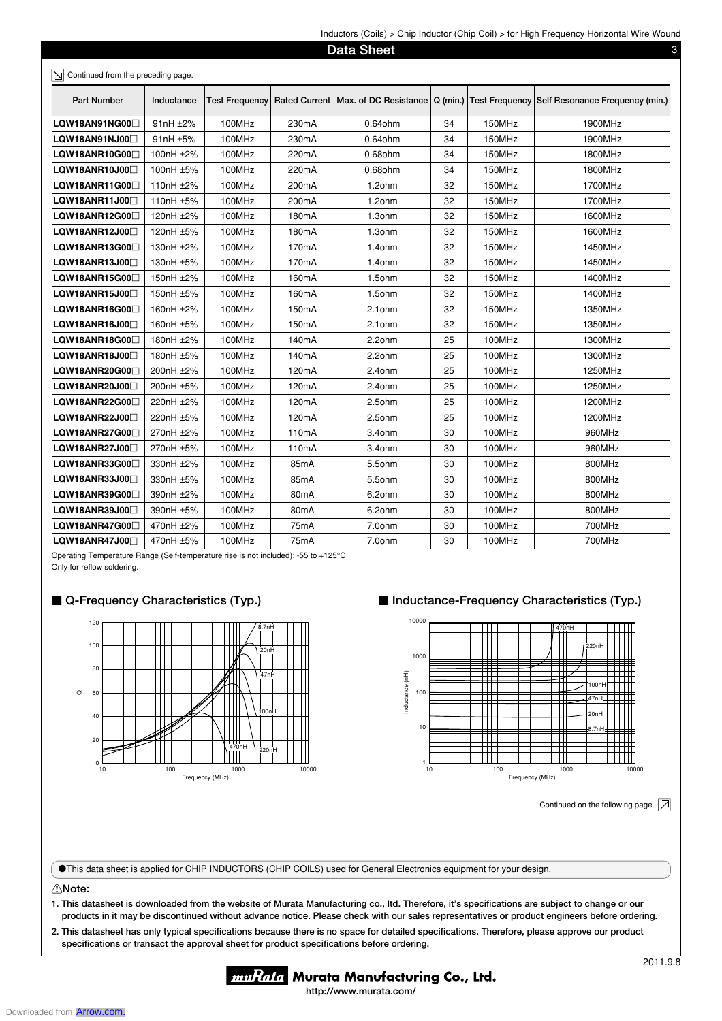| Part Number                | Inductance | <b>Test Frequency</b> |                    | Rated Current   Max. of DC Resistance | $Q$ (min.) |        | Test Frequency Self Resonance Frequency (min.) |
|----------------------------|------------|-----------------------|--------------------|---------------------------------------|------------|--------|------------------------------------------------|
| LQW18AN91NG00              | 91nH ±2%   | 100MHz                | 230mA              | $0.64$ ohm                            | 34         | 150MHz | 1900MHz                                        |
| LQW18AN91NJ00              | 91nH ±5%   | 100MHz                | 230mA              | $0.64$ ohm                            | 34         | 150MHz | 1900MHz                                        |
| LQW18ANR10G00              | 100nH ±2%  | 100MHz                | 220mA              | 0.68ohm                               | 34         | 150MHz | 1800MHz                                        |
| LQW18ANR10J000             | 100nH ±5%  | 100MHz                | 220mA              | 0.68ohm                               | 34         | 150MHz | 1800MHz                                        |
| LQW18ANR11G00              | 110nH ±2%  | 100MHz                | 200mA              | 1.2ohm                                | 32         | 150MHz | 1700MHz                                        |
| $LQW18ANR11J00 \Box$       | 110nH ±5%  | 100MHz                | 200 <sub>m</sub> A | 1.2ohm                                | 32         | 150MHz | 1700MHz                                        |
| LQW18ANR12G00              | 120nH ±2%  | 100MHz                | 180 <sub>m</sub> A | 1.3ohm                                | 32         | 150MHz | 1600MHz                                        |
| $LQW18ANR12J00\Box$        | 120nH ±5%  | 100MHz                | 180 <sub>m</sub> A | 1.3ohm                                | 32         | 150MHz | 1600MHz                                        |
| LQW18ANR13G00              | 130nH ±2%  | 100MHz                | 170mA              | 1.4ohm                                | 32         | 150MHz | 1450MHz                                        |
| LQW18ANR13J00              | 130nH ±5%  | 100MHz                | 170mA              | 1.4ohm                                | 32         | 150MHz | 1450MHz                                        |
| LQW18ANR15G00              | 150nH ±2%  | 100MHz                | 160mA              | 1.5ohm                                | 32         | 150MHz | 1400MHz                                        |
| LQW18ANR15J00              | 150nH ±5%  | 100MHz                | 160mA              | 1.5ohm                                | 32         | 150MHz | 1400MHz                                        |
| LQW18ANR16G00              | 160nH ±2%  | 100MHz                | 150mA              | 2.1ohm                                | 32         | 150MHz | 1350MHz                                        |
| LQW18ANR16J00              | 160nH ±5%  | 100MHz                | 150mA              | 2.1ohm                                | 32         | 150MHz | 1350MHz                                        |
| LQW18ANR18G00              | 180nH ±2%  | 100MHz                | 140 <sub>m</sub> A | 2.2ohm                                | 25         | 100MHz | 1300MHz                                        |
| LQW18ANR18J00              | 180nH ±5%  | 100MHz                | 140 <sub>m</sub> A | 2.2ohm                                | 25         | 100MHz | 1300MHz                                        |
| LQW18ANR20G00              | 200nH ±2%  | 100MHz                | 120mA              | 2.4ohm                                | 25         | 100MHz | 1250MHz                                        |
| LQW18ANR20J00 $\Box$       | 200nH ±5%  | 100MHz                | 120mA              | 2.4ohm                                | 25         | 100MHz | 1250MHz                                        |
| LQW18ANR22G00              | 220nH ±2%  | 100MHz                | 120mA              | 2.5ohm                                | 25         | 100MHz | 1200MHz                                        |
| LQW18ANR22J00              | 220nH ±5%  | 100MHz                | 120mA              | 2.5ohm                                | 25         | 100MHz | 1200MHz                                        |
| LQW18ANR27G00              | 270nH ±2%  | 100MHz                | 110mA              | 3.4ohm                                | 30         | 100MHz | 960MHz                                         |
| LQW18ANR27J00              | 270nH ±5%  | 100MHz                | 110 <sub>m</sub> A | 3.4ohm                                | 30         | 100MHz | 960MHz                                         |
| LQW18ANR33G00              | 330nH ±2%  | 100MHz                | 85mA               | 5.5ohm                                | 30         | 100MHz | 800MHz                                         |
| LQW18ANR33J00              | 330nH ±5%  | 100MHz                | 85 <sub>m</sub> A  | 5.5ohm                                | 30         | 100MHz | 800MHz                                         |
| LQW18ANR39G00              | 390nH ±2%  | 100MHz                | 80 <sub>m</sub> A  | 6.2ohm                                | 30         | 100MHz | 800MHz                                         |
| LQW18ANR39J00 <sup>1</sup> | 390nH ±5%  | 100MHz                | 80 <sub>m</sub> A  | 6.2ohm                                | 30         | 100MHz | 800MHz                                         |
| LQW18ANR47G00              | 470nH ±2%  | 100MHz                | 75mA               | 7.0ohm                                | 30         | 100MHz | 700MHz                                         |
| LQW18ANR47J00              | 470nH ±5%  | 100MHz                | 75mA               | 7.0ohm                                | 30         | 100MHz | 700MHz                                         |

Operating Temperature Range (Self-temperature rise is not included): -55 to +125°C

Only for reflow soldering.

# ■ Q-Frequency Characteristics (Typ.)



# ■ Inductance-Frequency Characteristics (Typ.)



Continued on the following page.  $\boxed{\nearrow}$ 

oThis data sheet is applied for CHIP INDUCTORS (CHIP COILS) used for General Electronics equipment for your design.

### !**Note:**

**1. This datasheet is downloaded from the website of Murata Manufacturing co., ltd. Therefore, it's specifi cations are subject to change or our products in it may be discontinued without advance notice. Please check with our sales representatives or product engineers before ordering.**